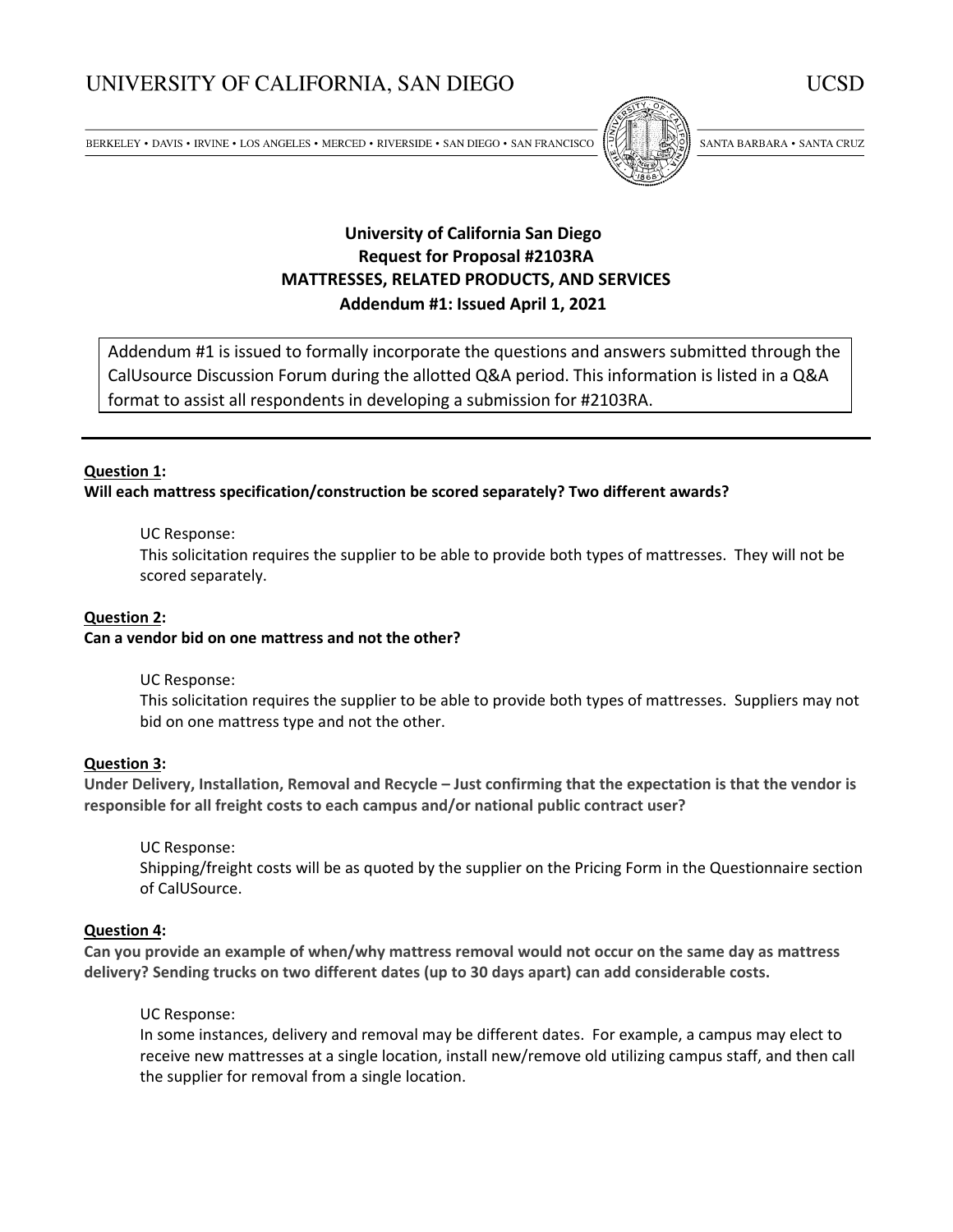# UNIVERSITY OF CALIFORNIA, SAN DIEGO

 $\texttt{BERKELEY}\bullet$  DAVIS  $\bullet$  IRVINE  $\bullet$  LOS ANGELES  $\bullet$  MERCED  $\bullet$  RIVERSIDE  $\bullet$  SAN DIEGO  $\bullet$  SAN FRANCISCO



SANTA BARBARA · SANTA CRUZ

# **University of California San Diego Request for Proposal #2103RA MATTRESSES, RELATED PRODUCTS, AND SERVICES Addendum #1: Issued April 1, 2021**

Addendum #1 is issued to formally incorporate the questions and answers submitted through the CalUsource Discussion Forum during the allotted Q&A period. This information is listed in a Q&A format to assist all respondents in developing a submission for #2103RA.

# **Question 1:**

**Will each mattress specification/construction be scored separately? Two different awards?** 

#### UC Response:

This solicitation requires the supplier to be able to provide both types of mattresses. They will not be scored separately.

#### **Question 2:**

# **Can a vendor bid on one mattress and not the other?**

#### UC Response:

This solicitation requires the supplier to be able to provide both types of mattresses. Suppliers may not bid on one mattress type and not the other.

#### **Question 3:**

**Under Delivery, Installation, Removal and Recycle – Just confirming that the expectation is that the vendor is responsible for all freight costs to each campus and/or national public contract user?** 

UC Response:

Shipping/freight costs will be as quoted by the supplier on the Pricing Form in the Questionnaire section of CalUSource.

# **Question 4:**

**Can you provide an example of when/why mattress removal would not occur on the same day as mattress delivery? Sending trucks on two different dates (up to 30 days apart) can add considerable costs.** 

#### UC Response:

In some instances, delivery and removal may be different dates. For example, a campus may elect to receive new mattresses at a single location, install new/remove old utilizing campus staff, and then call the supplier for removal from a single location.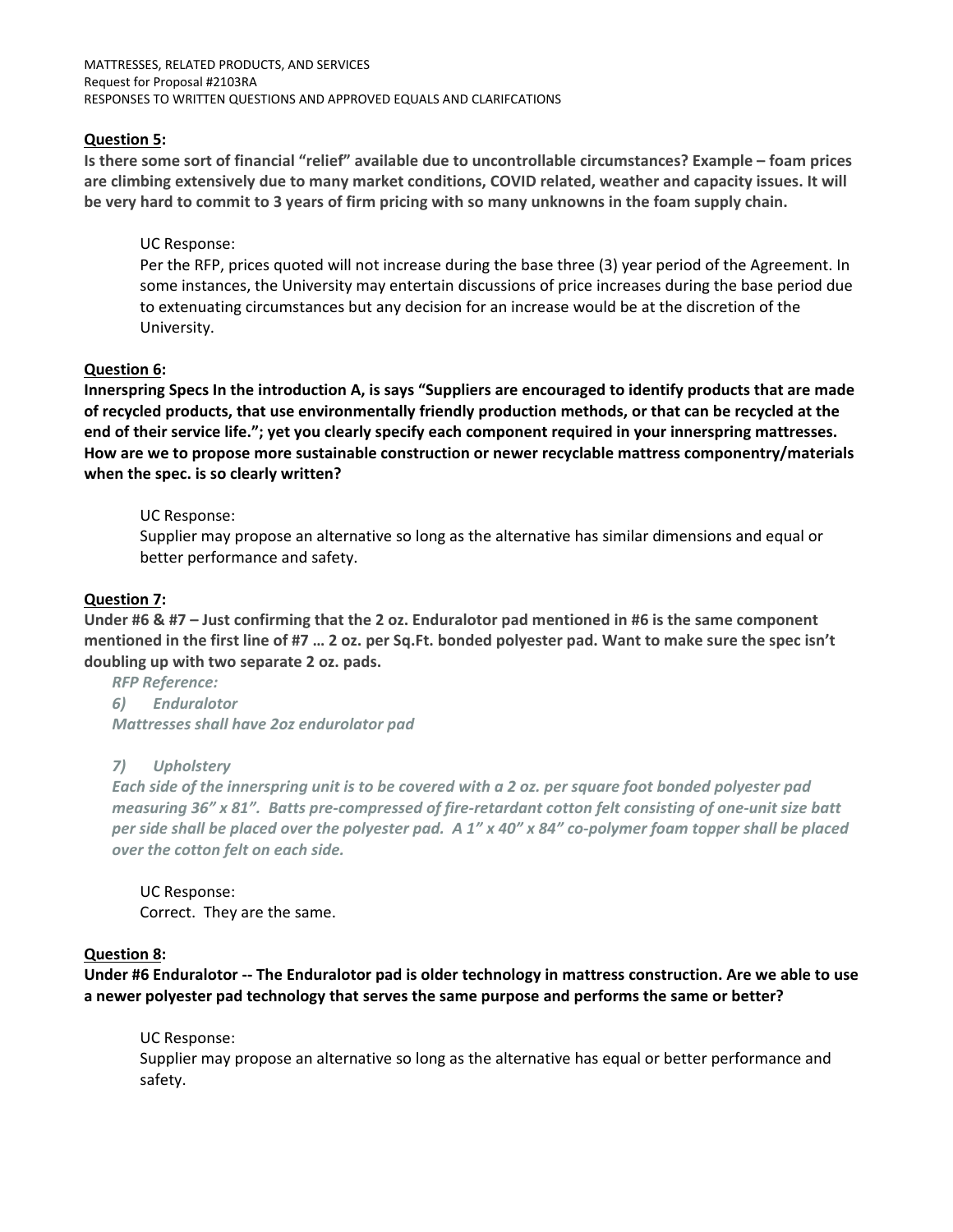MATTRESSES, RELATED PRODUCTS, AND SERVICES Request for Proposal #2103RA RESPONSES TO WRITTEN QUESTIONS AND APPROVED EQUALS AND CLARIFCATIONS

# **Question 5:**

**Is there some sort of financial "relief" available due to uncontrollable circumstances? Example – foam prices are climbing extensively due to many market conditions, COVID related, weather and capacity issues. It will be very hard to commit to 3 years of firm pricing with so many unknowns in the foam supply chain.** 

# UC Response:

Per the RFP, prices quoted will not increase during the base three (3) year period of the Agreement. In some instances, the University may entertain discussions of price increases during the base period due to extenuating circumstances but any decision for an increase would be at the discretion of the University.

# **Question 6:**

**Innerspring Specs In the introduction A, is says "Suppliers are encouraged to identify products that are made of recycled products, that use environmentally friendly production methods, or that can be recycled at the end of their service life."; yet you clearly specify each component required in your innerspring mattresses. How are we to propose more sustainable construction or newer recyclable mattress componentry/materials when the spec. is so clearly written?** 

# UC Response:

Supplier may propose an alternative so long as the alternative has similar dimensions and equal or better performance and safety.

# **Question 7:**

**Under #6 & #7 – Just confirming that the 2 oz. Enduralotor pad mentioned in #6 is the same component mentioned in the first line of #7 … 2 oz. per Sq.Ft. bonded polyester pad. Want to make sure the spec isn't doubling up with two separate 2 oz. pads.** 

*RFP Reference: 6) Enduralotor* 

*Mattresses shall have 2oz endurolator pad*

# *7) Upholstery*

*Each side of the innerspring unit is to be covered with a 2 oz. per square foot bonded polyester pad measuring 36" x 81". Batts pre‐compressed of fire‐retardant cotton felt consisting of one‐unit size batt per side shall be placed over the polyester pad. A 1" x 40" x 84" co‐polymer foam topper shall be placed over the cotton felt on each side.* 

UC Response: Correct. They are the same.

# **Question 8:**

**Under #6 Enduralotor ‐‐ The Enduralotor pad is older technology in mattress construction. Are we able to use a newer polyester pad technology that serves the same purpose and performs the same or better?** 

# UC Response:

Supplier may propose an alternative so long as the alternative has equal or better performance and safety.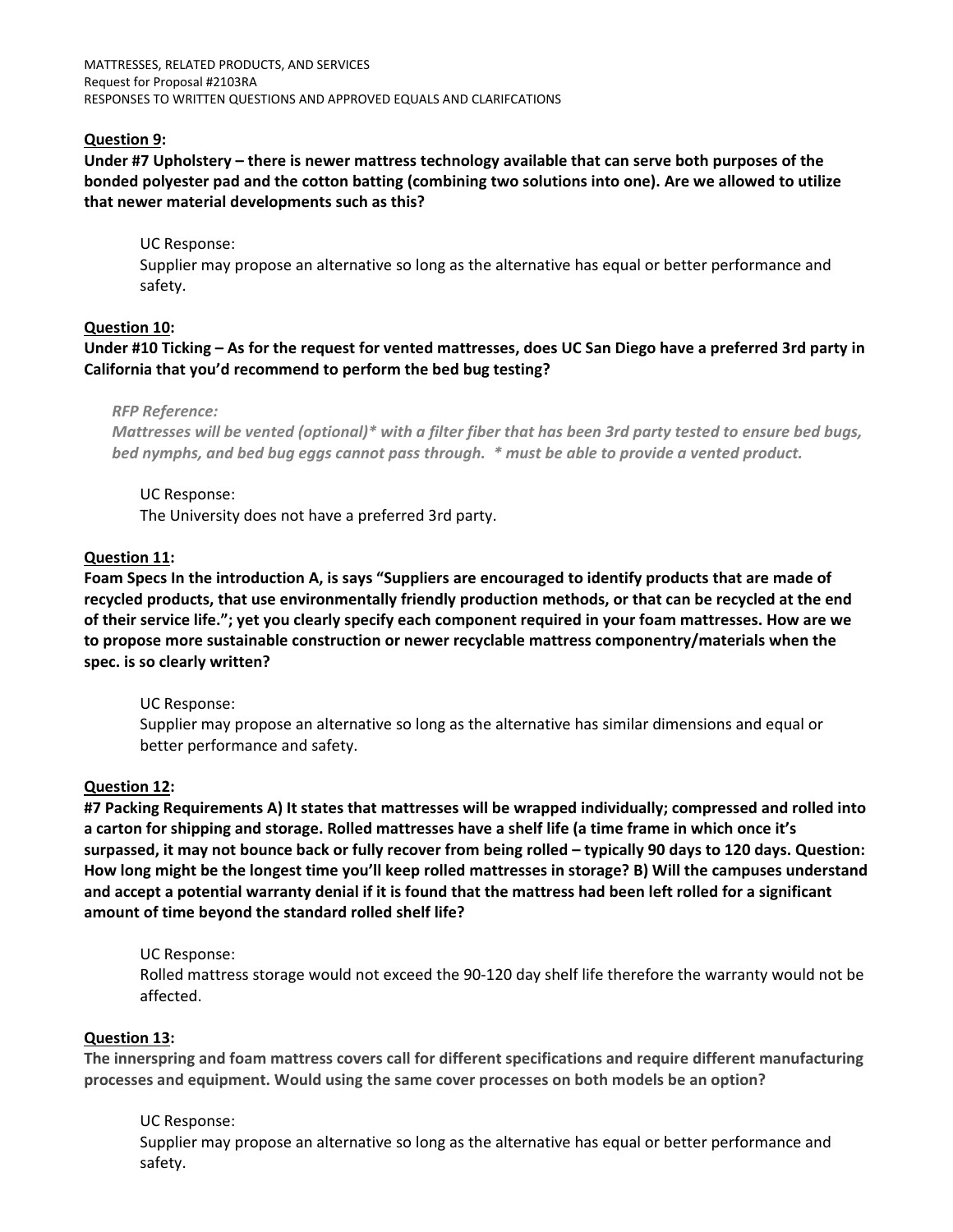MATTRESSES, RELATED PRODUCTS, AND SERVICES Request for Proposal #2103RA RESPONSES TO WRITTEN QUESTIONS AND APPROVED EQUALS AND CLARIFCATIONS

# **Question 9:**

**Under #7 Upholstery – there is newer mattress technology available that can serve both purposes of the bonded polyester pad and the cotton batting (combining two solutions into one). Are we allowed to utilize that newer material developments such as this?** 

UC Response:

Supplier may propose an alternative so long as the alternative has equal or better performance and safety.

#### **Question 10:**

**Under #10 Ticking – As for the request for vented mattresses, does UC San Diego have a preferred 3rd party in California that you'd recommend to perform the bed bug testing?**

#### *RFP Reference:*

*Mattresses will be vented (optional)\* with a filter fiber that has been 3rd party tested to ensure bed bugs, bed nymphs, and bed bug eggs cannot pass through. \* must be able to provide a vented product.*

UC Response: The University does not have a preferred 3rd party.

#### **Question 11:**

**Foam Specs In the introduction A, is says "Suppliers are encouraged to identify products that are made of recycled products, that use environmentally friendly production methods, or that can be recycled at the end of their service life."; yet you clearly specify each component required in your foam mattresses. How are we to propose more sustainable construction or newer recyclable mattress componentry/materials when the spec. is so clearly written?** 

UC Response:

Supplier may propose an alternative so long as the alternative has similar dimensions and equal or better performance and safety.

#### **Question 12:**

**#7 Packing Requirements A) It states that mattresses will be wrapped individually; compressed and rolled into a carton for shipping and storage. Rolled mattresses have a shelf life (a time frame in which once it's surpassed, it may not bounce back or fully recover from being rolled – typically 90 days to 120 days. Question: How long might be the longest time you'll keep rolled mattresses in storage? B) Will the campuses understand and accept a potential warranty denial if it is found that the mattress had been left rolled for a significant amount of time beyond the standard rolled shelf life?** 

#### UC Response:

Rolled mattress storage would not exceed the 90‐120 day shelf life therefore the warranty would not be affected.

#### **Question 13:**

**The innerspring and foam mattress covers call for different specifications and require different manufacturing processes and equipment. Would using the same cover processes on both models be an option?** 

#### UC Response:

Supplier may propose an alternative so long as the alternative has equal or better performance and safety.